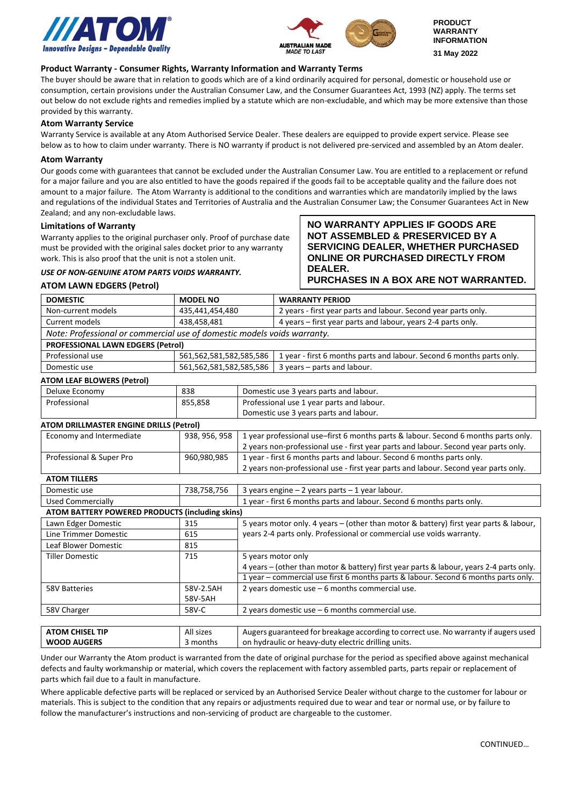



**NO WARRANTY APPLIES IF GOODS ARE NOT ASSEMBLED & PRESERVICED BY A SERVICING DEALER, WHETHER PURCHASED ONLINE OR PURCHASED DIRECTLY FROM** 

**PURCHASES IN A BOX ARE NOT WARRANTED.**

# **Product Warranty - Consumer Rights, Warranty Information and Warranty Terms**

The buyer should be aware that in relation to goods which are of a kind ordinarily acquired for personal, domestic or household use or consumption, certain provisions under the Australian Consumer Law, and the Consumer Guarantees Act, 1993 (NZ) apply. The terms set out below do not exclude rights and remedies implied by a statute which are non-excludable, and which may be more extensive than those provided by this warranty.

## **Atom Warranty Service**

Warranty Service is available at any Atom Authorised Service Dealer. These dealers are equipped to provide expert service. Please see below as to how to claim under warranty. There is NO warranty if product is not delivered pre-serviced and assembled by an Atom dealer.

## **Atom Warranty**

Our goods come with guarantees that cannot be excluded under the Australian Consumer Law. You are entitled to a replacement or refund for a major failure and you are also entitled to have the goods repaired if the goods fail to be acceptable quality and the failure does not amount to a major failure. The Atom Warranty is additional to the conditions and warranties which are mandatorily implied by the laws and regulations of the individual States and Territories of Australia and the Australian Consumer Law; the Consumer Guarantees Act in New Zealand; and any non-excludable laws.

**DEALER.**

## **Limitations of Warranty**

Warranty applies to the original purchaser only. Proof of purchase date must be provided with the original sales docket prior to any warranty work. This is also proof that the unit is not a stolen unit.

## *USE OF NON-GENUINE ATOM PARTS VOIDS WARRANTY.*

# **ATOM LAWN EDGERS (Petrol)**

| <b>DOMESTIC</b>                                                         | <b>MODEL NO</b>         |                                                                                                                                                               | <b>WARRANTY PERIOD</b>                                                                  |  |
|-------------------------------------------------------------------------|-------------------------|---------------------------------------------------------------------------------------------------------------------------------------------------------------|-----------------------------------------------------------------------------------------|--|
| Non-current models                                                      | 435,441,454,480         |                                                                                                                                                               | 2 years - first year parts and labour. Second year parts only.                          |  |
| Current models                                                          | 438,458,481             |                                                                                                                                                               | 4 years – first year parts and labour, years 2-4 parts only.                            |  |
| Note: Professional or commercial use of domestic models voids warranty. |                         |                                                                                                                                                               |                                                                                         |  |
| <b>PROFESSIONAL LAWN EDGERS (Petrol)</b>                                |                         |                                                                                                                                                               |                                                                                         |  |
| Professional use                                                        | 561,562,581,582,585,586 |                                                                                                                                                               | 1 year - first 6 months parts and labour. Second 6 months parts only.                   |  |
| Domestic use                                                            | 561,562,581,582,585,586 |                                                                                                                                                               | 3 years - parts and labour.                                                             |  |
| <b>ATOM LEAF BLOWERS (Petrol)</b>                                       |                         |                                                                                                                                                               |                                                                                         |  |
| Deluxe Economy                                                          | 838                     | Domestic use 3 years parts and labour.                                                                                                                        |                                                                                         |  |
| Professional                                                            | 855,858                 | Professional use 1 year parts and labour.                                                                                                                     |                                                                                         |  |
|                                                                         |                         |                                                                                                                                                               | Domestic use 3 years parts and labour.                                                  |  |
| ATOM DRILLMASTER ENGINE DRILLS (Petrol)                                 |                         |                                                                                                                                                               |                                                                                         |  |
| Economy and Intermediate                                                | 938, 956, 958           |                                                                                                                                                               | 1 year professional use-first 6 months parts & labour. Second 6 months parts only.      |  |
|                                                                         |                         |                                                                                                                                                               | 2 years non-professional use - first year parts and labour. Second year parts only.     |  |
| Professional & Super Pro                                                | 960,980,985             | 1 year - first 6 months parts and labour. Second 6 months parts only.<br>2 years non-professional use - first year parts and labour. Second year parts only.  |                                                                                         |  |
|                                                                         |                         |                                                                                                                                                               |                                                                                         |  |
| <b>ATOM TILLERS</b>                                                     |                         |                                                                                                                                                               |                                                                                         |  |
| Domestic use                                                            | 738,758,756             | 3 years engine $-2$ years parts $-1$ year labour.                                                                                                             |                                                                                         |  |
| <b>Used Commercially</b>                                                |                         | 1 year - first 6 months parts and labour. Second 6 months parts only.                                                                                         |                                                                                         |  |
| <b>ATOM BATTERY POWERED PRODUCTS (including skins)</b>                  |                         |                                                                                                                                                               |                                                                                         |  |
| Lawn Edger Domestic                                                     | 315                     | 5 years motor only. 4 years - (other than motor & battery) first year parts & labour,<br>years 2-4 parts only. Professional or commercial use voids warranty. |                                                                                         |  |
| Line Trimmer Domestic                                                   | 615                     |                                                                                                                                                               |                                                                                         |  |
| <b>Leaf Blower Domestic</b>                                             | 815                     |                                                                                                                                                               |                                                                                         |  |
| <b>Tiller Domestic</b>                                                  | 715                     | 5 years motor only                                                                                                                                            |                                                                                         |  |
|                                                                         |                         |                                                                                                                                                               | 4 years - (other than motor & battery) first year parts & labour, years 2-4 parts only. |  |
|                                                                         |                         |                                                                                                                                                               | 1 year - commercial use first 6 months parts & labour. Second 6 months parts only.      |  |
| <b>58V Batteries</b>                                                    | 58V-2.5AH               |                                                                                                                                                               | 2 years domestic use $-6$ months commercial use.                                        |  |
|                                                                         | 58V-5AH                 |                                                                                                                                                               |                                                                                         |  |
| 58V Charger                                                             | 58V-C                   | 2 years domestic use $-6$ months commercial use.                                                                                                              |                                                                                         |  |
|                                                                         |                         |                                                                                                                                                               |                                                                                         |  |
| <b>ATOM CHISEL TIP</b>                                                  | All sizes               | Augers guaranteed for breakage according to correct use. No warranty if augers used                                                                           |                                                                                         |  |
| <b>WOOD AUGERS</b>                                                      | 3 months                | on hydraulic or heavy-duty electric drilling units.                                                                                                           |                                                                                         |  |

Under our Warranty the Atom product is warranted from the date of original purchase for the period as specified above against mechanical defects and faulty workmanship or material, which covers the replacement with factory assembled parts, parts repair or replacement of parts which fail due to a fault in manufacture.

Where applicable defective parts will be replaced or serviced by an Authorised Service Dealer without charge to the customer for labour or materials. This is subject to the condition that any repairs or adjustments required due to wear and tear or normal use, or by failure to follow the manufacturer's instructions and non-servicing of product are chargeable to the customer.